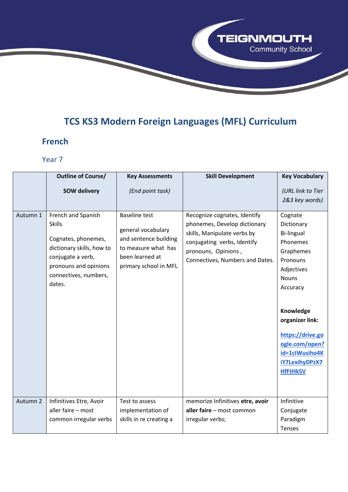# **TCS KS3 Modern Foreign Languages (MFL) Curriculum**

**TEIGNMOUTH** 

Community School

#### **French**

|          | <b>Outline of Course/</b>                                                                                                                                                | <b>Key Assessments</b>                                                                                                                 | <b>Skill Development</b>                                                                                                                                                             | <b>Key Vocabulary</b>                                                                                                                                                  |
|----------|--------------------------------------------------------------------------------------------------------------------------------------------------------------------------|----------------------------------------------------------------------------------------------------------------------------------------|--------------------------------------------------------------------------------------------------------------------------------------------------------------------------------------|------------------------------------------------------------------------------------------------------------------------------------------------------------------------|
|          | <b>SOW delivery</b>                                                                                                                                                      | (End point task)                                                                                                                       |                                                                                                                                                                                      | (URL link to Tier                                                                                                                                                      |
|          |                                                                                                                                                                          |                                                                                                                                        |                                                                                                                                                                                      | 2&3 key words)                                                                                                                                                         |
| Autumn 1 | French and Spanish<br><b>Skills</b><br>Cognates, phonemes,<br>dictionary skills, how to<br>conjugate a verb,<br>pronouns and opinions<br>connectives, numbers,<br>dates. | <b>Baseline test</b><br>general vocabulary<br>and sentence building<br>to measure what has<br>been learned at<br>primary school in MFL | Recognize cognates, Identify<br>phonemes, Develop dictionary<br>skills, Manipulate verbs by<br>conjugating verbs, Identify<br>pronouns, Opinions,<br>Connectives, Numbers and Dates. | Cognate<br>Dictionary<br>Bi-lingual<br>Phonemes<br>Graphemes<br>Pronouns<br>Adjectives<br><b>Nouns</b><br>Accuracy<br>Knowledge<br>organizer link:<br>https://drive.go |
|          |                                                                                                                                                                          |                                                                                                                                        |                                                                                                                                                                                      | ogle.com/open?<br>id=1clWusiho4K                                                                                                                                       |
|          |                                                                                                                                                                          |                                                                                                                                        |                                                                                                                                                                                      | <b>iY7LexihyDPzX7</b>                                                                                                                                                  |
|          |                                                                                                                                                                          |                                                                                                                                        |                                                                                                                                                                                      | <b>HfFtHkSV</b>                                                                                                                                                        |
| Autumn 2 | Infinitives Etre, Avoir                                                                                                                                                  | Test to assess                                                                                                                         | memorize Infinitives etre, avoir                                                                                                                                                     | Infinitive                                                                                                                                                             |
|          | aller faire - most                                                                                                                                                       | implementation of                                                                                                                      | aller faire - most common                                                                                                                                                            | Conjugate                                                                                                                                                              |
|          | common irregular verbs                                                                                                                                                   | skills in re creating a                                                                                                                | irregular verbs;                                                                                                                                                                     | Paradigm                                                                                                                                                               |
|          |                                                                                                                                                                          |                                                                                                                                        |                                                                                                                                                                                      | Tenses                                                                                                                                                                 |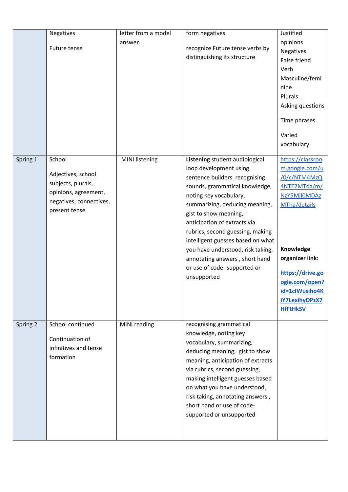|          | <b>Negatives</b><br>Future tense                                                                             | letter from a model<br>answer. | form negatives<br>recognize Future tense verbs by<br>distinguishing its structure                                                                                                                                                                                                                                                                                                                             | Justified<br>opinions<br><b>Negatives</b><br><b>False friend</b><br>Verb<br>Masculine/femi<br>nine<br>Plurals<br>Asking questions                                                                                  |
|----------|--------------------------------------------------------------------------------------------------------------|--------------------------------|---------------------------------------------------------------------------------------------------------------------------------------------------------------------------------------------------------------------------------------------------------------------------------------------------------------------------------------------------------------------------------------------------------------|--------------------------------------------------------------------------------------------------------------------------------------------------------------------------------------------------------------------|
| Spring 1 | School                                                                                                       | <b>MINI listening</b>          | Listening student audiological                                                                                                                                                                                                                                                                                                                                                                                | Time phrases<br>Varied<br>vocabulary<br>https://classroo                                                                                                                                                           |
|          | Adjectives, school<br>subjects, plurals,<br>opinions, agreement,<br>negatives, connectives,<br>present tense |                                | loop development using<br>sentence builders recognising<br>sounds, grammatical knowledge,<br>noting key vocabulary,<br>summarizing, deducing meaning,<br>gist to show meaning,<br>anticipation of extracts via<br>rubrics, second guessing, making<br>intelligent guesses based on what<br>you have understood, risk taking,<br>annotating answers, short hand<br>or use of code- supported or<br>unsupported | m.google.com/u<br>/0/c/NTM4MzQ<br>4NTE2MTda/m/<br>NzY5MjI0MDAz<br>MTha/details<br>Knowledge<br>organizer link:<br>https://drive.go<br>ogle.com/open?<br>id=1clWusiho4K<br><b>iY7LexihyDPzX7</b><br><b>HfFtHkSV</b> |
| Spring 2 | School continued<br>Continuation of<br>infinitives and tense<br>formation                                    | MINI reading                   | recognising grammatical<br>knowledge, noting key<br>vocabulary, summarizing,<br>deducing meaning, gist to show<br>meaning, anticipation of extracts<br>via rubrics, second guessing,<br>making intelligent guesses based<br>on what you have understood,<br>risk taking, annotating answers,<br>short hand or use of code-<br>supported or unsupported                                                        |                                                                                                                                                                                                                    |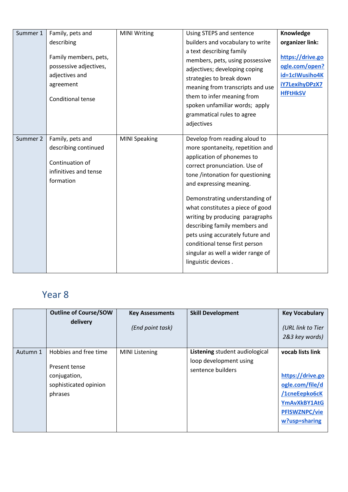| Summer 1 | Family, pets and<br>describing<br>Family members, pets,<br>possessive adjectives,<br>adjectives and<br>agreement<br><b>Conditional tense</b> | <b>MINI Writing</b>  | Using STEPS and sentence<br>builders and vocabulary to write<br>a text describing family<br>members, pets, using possessive<br>adjectives; developing coping<br>strategies to break down<br>meaning from transcripts and use<br>them to infer meaning from<br>spoken unfamiliar words; apply<br>grammatical rules to agree<br>adjectives                                                                                                                                    | Knowledge<br>organizer link:<br>https://drive.go<br>ogle.com/open?<br>id=1clWusiho4K<br>iY7LexihyDPzX7<br><b>HfFtHkSV</b> |
|----------|----------------------------------------------------------------------------------------------------------------------------------------------|----------------------|-----------------------------------------------------------------------------------------------------------------------------------------------------------------------------------------------------------------------------------------------------------------------------------------------------------------------------------------------------------------------------------------------------------------------------------------------------------------------------|---------------------------------------------------------------------------------------------------------------------------|
| Summer 2 | Family, pets and<br>describing continued<br>Continuation of<br>infinitives and tense<br>formation                                            | <b>MINI Speaking</b> | Develop from reading aloud to<br>more spontaneity, repetition and<br>application of phonemes to<br>correct pronunciation. Use of<br>tone /intonation for questioning<br>and expressing meaning.<br>Demonstrating understanding of<br>what constitutes a piece of good<br>writing by producing paragraphs<br>describing family members and<br>pets using accurately future and<br>conditional tense first person<br>singular as well a wider range of<br>linguistic devices. |                                                                                                                           |

|          | <b>Outline of Course/SOW</b><br>delivery                                                   | <b>Key Assessments</b><br>(End point task) | <b>Skill Development</b>                                                      | <b>Key Vocabulary</b><br>(URL link to Tier<br>2&3 key words)                                                                      |
|----------|--------------------------------------------------------------------------------------------|--------------------------------------------|-------------------------------------------------------------------------------|-----------------------------------------------------------------------------------------------------------------------------------|
| Autumn 1 | Hobbies and free time<br>Present tense<br>conjugation,<br>sophisticated opinion<br>phrases | <b>MINI Listening</b>                      | Listening student audiological<br>loop development using<br>sentence builders | vocab lists link<br>https://drive.go<br>ogle.com/file/d<br>/1cneEepko6cK<br>YmAvXkBY1AtG<br><b>PFISWZNPC/vie</b><br>w?usp=sharing |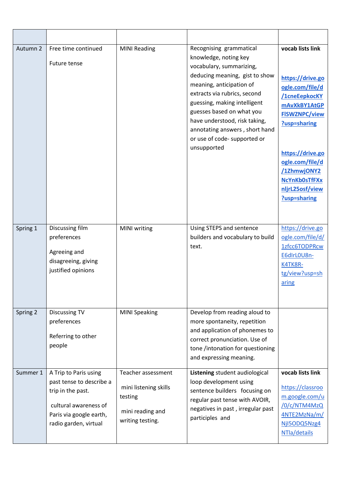| Autumn 2 | Free time continued<br>Future tense                                                                                                                 | <b>MINI Reading</b>                                                                            | Recognising grammatical<br>knowledge, noting key<br>vocabulary, summarizing,<br>deducing meaning, gist to show<br>meaning, anticipation of<br>extracts via rubrics, second<br>guessing, making intelligent<br>guesses based on what you<br>have understood, risk taking,<br>annotating answers, short hand<br>or use of code- supported or<br>unsupported | vocab lists link<br>https://drive.go<br>ogle.com/file/d<br>/1cneEepkocKY<br>mAvXkBY1AtGP<br><b>FISWZNPC/view</b><br>?usp=sharing<br>https://drive.go<br>ogle.com/file/d<br>/1ZhmwjONY2<br><b>NcYnKbOsTfFXx</b><br>nljrL25osf/view<br>?usp=sharing |
|----------|-----------------------------------------------------------------------------------------------------------------------------------------------------|------------------------------------------------------------------------------------------------|-----------------------------------------------------------------------------------------------------------------------------------------------------------------------------------------------------------------------------------------------------------------------------------------------------------------------------------------------------------|---------------------------------------------------------------------------------------------------------------------------------------------------------------------------------------------------------------------------------------------------|
| Spring 1 | Discussing film<br>preferences<br>Agreeing and<br>disagreeing, giving<br>justified opinions                                                         | MINI writing                                                                                   | Using STEPS and sentence<br>builders and vocabulary to build<br>text.                                                                                                                                                                                                                                                                                     | https://drive.go<br>ogle.com/file/d/<br>1zfcc6TODPRcw<br>E6dIrL0U8n-<br>K4TK8R-<br>tg/view?usp=sh<br>aring                                                                                                                                        |
| Spring 2 | <b>Discussing TV</b><br>preferences<br>Referring to other<br>people                                                                                 | <b>MINI Speaking</b>                                                                           | Develop from reading aloud to<br>more spontaneity, repetition<br>and application of phonemes to<br>correct pronunciation. Use of<br>tone /intonation for questioning<br>and expressing meaning.                                                                                                                                                           |                                                                                                                                                                                                                                                   |
| Summer 1 | A Trip to Paris using<br>past tense to describe a<br>trip in the past.<br>cultural awareness of<br>Paris via google earth,<br>radio garden, virtual | Teacher assessment<br>mini listening skills<br>testing<br>mini reading and<br>writing testing. | Listening student audiological<br>loop development using<br>sentence builders focusing on<br>regular past tense with AVOIR,<br>negatives in past, irregular past<br>participles and                                                                                                                                                                       | vocab lists link<br>https://classroo<br>m.google.com/u<br>/0/c/NTM4MzQ<br>4NTE2MzNa/m/<br>NjI5ODQ5Nzg4<br>NTla/details                                                                                                                            |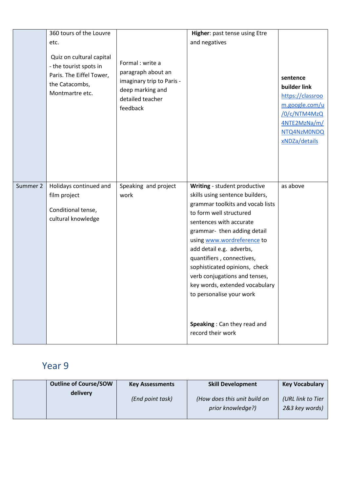|          | 360 tours of the Louvre<br>etc.<br>Quiz on cultural capital<br>- the tourist spots in<br>Paris. The Eiffel Tower,<br>the Catacombs,<br>Montmartre etc. | Formal : write a<br>paragraph about an<br>imaginary trip to Paris -<br>deep marking and<br>detailed teacher<br>feedback | Higher: past tense using Etre<br>and negatives                                                                                                                                                                                                                                                                                                                                                                                                                      | sentence<br>builder link<br>https://classroo<br>m.google.com/u<br>/0/c/NTM4MzQ<br>4NTE2MzNa/m/<br>NTQ4NzM0NDQ<br>xNDZa/details |
|----------|--------------------------------------------------------------------------------------------------------------------------------------------------------|-------------------------------------------------------------------------------------------------------------------------|---------------------------------------------------------------------------------------------------------------------------------------------------------------------------------------------------------------------------------------------------------------------------------------------------------------------------------------------------------------------------------------------------------------------------------------------------------------------|--------------------------------------------------------------------------------------------------------------------------------|
| Summer 2 | Holidays continued and<br>film project<br>Conditional tense,<br>cultural knowledge                                                                     | Speaking and project<br>work                                                                                            | Writing - student productive<br>skills using sentence builders,<br>grammar toolkits and vocab lists<br>to form well structured<br>sentences with accurate<br>grammar- then adding detail<br>using www.wordreference to<br>add detail e.g. adverbs,<br>quantifiers, connectives,<br>sophisticated opinions, check<br>verb conjugations and tenses,<br>key words, extended vocabulary<br>to personalise your work<br>Speaking: Can they read and<br>record their work | as above                                                                                                                       |

| <b>Outline of Course/SOW</b> | <b>Key Assessments</b> | <b>Skill Development</b>                          | <b>Key Vocabulary</b>               |
|------------------------------|------------------------|---------------------------------------------------|-------------------------------------|
| delivery                     | (End point task)       | (How does this unit build on<br>prior knowledge?) | (URL link to Tier<br>2&3 key words) |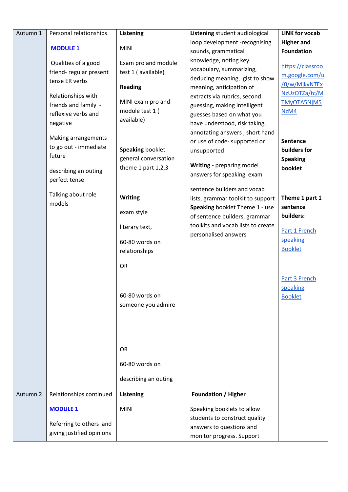| Autumn 1 | Personal relationships                                                                                                                                                  | Listening                                                                                                                              | Listening student audiological                                                                                                                                                                                                                                                                                  | <b>LINK for vocab</b>                                                                                                                 |
|----------|-------------------------------------------------------------------------------------------------------------------------------------------------------------------------|----------------------------------------------------------------------------------------------------------------------------------------|-----------------------------------------------------------------------------------------------------------------------------------------------------------------------------------------------------------------------------------------------------------------------------------------------------------------|---------------------------------------------------------------------------------------------------------------------------------------|
|          | <b>MODULE 1</b>                                                                                                                                                         | <b>MINI</b>                                                                                                                            | loop development -recognising<br>sounds, grammatical                                                                                                                                                                                                                                                            | <b>Higher and</b><br><b>Foundation</b>                                                                                                |
|          | Qualities of a good<br>friend-regular present<br>tense ER verbs<br>Relationships with<br>friends and family -<br>reflexive verbs and<br>negative<br>Making arrangements | Exam pro and module<br>test 1 (available)<br><b>Reading</b><br>MINI exam pro and<br>module test 1 (<br>available)                      | knowledge, noting key<br>vocabulary, summarizing,<br>deducing meaning, gist to show<br>meaning, anticipation of<br>extracts via rubrics, second<br>guessing, making intelligent<br>guesses based on what you<br>have understood, risk taking,<br>annotating answers, short hand<br>or use of code- supported or | https://classroo<br>m.google.com/u<br>/0/w/MjkyNTEx<br>NzUzOTZa/tc/M<br>TMyOTA5NjM5<br>NzM4<br>Sentence                               |
|          | to go out - immediate<br>future<br>describing an outing<br>perfect tense                                                                                                | <b>Speaking booklet</b><br>general conversation<br>theme 1 part $1,2,3$                                                                | unsupported<br>Writing - preparing model<br>answers for speaking exam                                                                                                                                                                                                                                           | builders for<br><b>Speaking</b><br>booklet                                                                                            |
|          | Talking about role<br>models                                                                                                                                            | <b>Writing</b><br>exam style<br>literary text,<br>60-80 words on<br>relationships<br><b>OR</b><br>60-80 words on<br>someone you admire | sentence builders and vocab<br>lists, grammar toolkit to support<br>Speaking booklet Theme 1 - use<br>of sentence builders, grammar<br>toolkits and vocab lists to create<br>personalised answers                                                                                                               | Theme 1 part 1<br>sentence<br>builders:<br>Part 1 French<br>speaking<br><b>Booklet</b><br>Part 3 French<br>speaking<br><b>Booklet</b> |
|          |                                                                                                                                                                         | OR<br>60-80 words on<br>describing an outing                                                                                           |                                                                                                                                                                                                                                                                                                                 |                                                                                                                                       |
| Autumn 2 | Relationships continued<br><b>MODULE 1</b><br>Referring to others and<br>giving justified opinions                                                                      | Listening<br><b>MINI</b>                                                                                                               | <b>Foundation / Higher</b><br>Speaking booklets to allow<br>students to construct quality<br>answers to questions and<br>monitor progress. Support                                                                                                                                                              |                                                                                                                                       |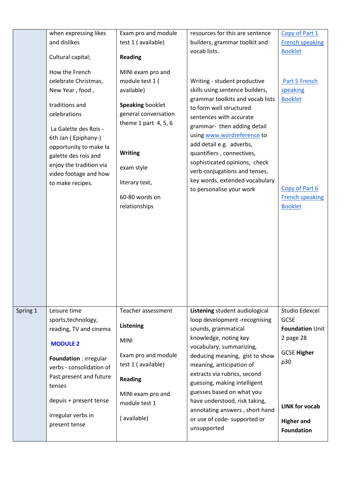|          | when expressing likes                                                                                                                                                                                                                                                 | Exam pro and module                                                                                                                                                                                                  | resources for this are sentence                                                                                                                                                                                                                                                                                                                                                                                 | Copy of Part 1                                                                                            |
|----------|-----------------------------------------------------------------------------------------------------------------------------------------------------------------------------------------------------------------------------------------------------------------------|----------------------------------------------------------------------------------------------------------------------------------------------------------------------------------------------------------------------|-----------------------------------------------------------------------------------------------------------------------------------------------------------------------------------------------------------------------------------------------------------------------------------------------------------------------------------------------------------------------------------------------------------------|-----------------------------------------------------------------------------------------------------------|
|          | and dislikes                                                                                                                                                                                                                                                          | test 1 (available)                                                                                                                                                                                                   | builders, grammar toolkit and                                                                                                                                                                                                                                                                                                                                                                                   | <b>French speaking</b>                                                                                    |
|          | Cultural capital;                                                                                                                                                                                                                                                     | <b>Reading</b>                                                                                                                                                                                                       | vocab lists.                                                                                                                                                                                                                                                                                                                                                                                                    | <b>Booklet</b>                                                                                            |
|          | How the French<br>celebrate Christmas,<br>New Year, food,<br>traditions and<br>celebrations<br>La Galette des Rois -<br>6th Jan (Epiphany-)<br>opportunity to make la<br>galette des rois and<br>enjoy the tradition via<br>video footage and how<br>to make recipes. | MINI exam pro and<br>module test 1 (<br>available)<br><b>Speaking booklet</b><br>general conversation<br>theme 1 part $4, 5, 6$<br><b>Writing</b><br>exam style<br>literary text,<br>60-80 words on<br>relationships | Writing - student productive<br>skills using sentence builders,<br>grammar toolkits and vocab lists<br>to form well structured<br>sentences with accurate<br>grammar- then adding detail<br>using www.wordreference to<br>add detail e.g. adverbs,<br>quantifiers, connectives,<br>sophisticated opinions, check<br>verb conjugations and tenses,<br>key words, extended vocabulary<br>to personalise your work | Part 5 French<br>speaking<br><b>Booklet</b><br>Copy of Part 6<br><b>French speaking</b><br><b>Booklet</b> |
|          |                                                                                                                                                                                                                                                                       |                                                                                                                                                                                                                      |                                                                                                                                                                                                                                                                                                                                                                                                                 |                                                                                                           |
| Spring 1 | Leisure time                                                                                                                                                                                                                                                          | Teacher assessment                                                                                                                                                                                                   | Listening student audiological                                                                                                                                                                                                                                                                                                                                                                                  | Studio Edexcel                                                                                            |
|          | sports, technology,<br>reading, TV and cinema                                                                                                                                                                                                                         | Listening                                                                                                                                                                                                            | loop development -recognising<br>sounds, grammatical                                                                                                                                                                                                                                                                                                                                                            | <b>GCSE</b><br><b>Foundation Unit</b>                                                                     |
|          | <b>MODULE 2</b>                                                                                                                                                                                                                                                       | <b>MINI</b>                                                                                                                                                                                                          | knowledge, noting key<br>vocabulary, summarizing,                                                                                                                                                                                                                                                                                                                                                               | 2 page 28                                                                                                 |
|          | Foundation : irregular<br>verbs - consolidation of                                                                                                                                                                                                                    | Exam pro and module<br>test 1 (available)                                                                                                                                                                            | deducing meaning, gist to show<br>meaning, anticipation of                                                                                                                                                                                                                                                                                                                                                      | <b>GCSE Higher</b><br>p30                                                                                 |
|          | Past present and future<br>tenses                                                                                                                                                                                                                                     | <b>Reading</b>                                                                                                                                                                                                       | extracts via rubrics, second<br>guessing, making intelligent                                                                                                                                                                                                                                                                                                                                                    |                                                                                                           |
|          | depuis + present tense                                                                                                                                                                                                                                                | MINI exam pro and<br>module test 1                                                                                                                                                                                   | guesses based on what you<br>have understood, risk taking,<br>annotating answers, short hand                                                                                                                                                                                                                                                                                                                    | <b>LINK for vocab</b>                                                                                     |
|          | irregular verbs in<br>present tense                                                                                                                                                                                                                                   | (available)                                                                                                                                                                                                          | or use of code- supported or<br>unsupported                                                                                                                                                                                                                                                                                                                                                                     | <b>Higher and</b><br><b>Foundation</b>                                                                    |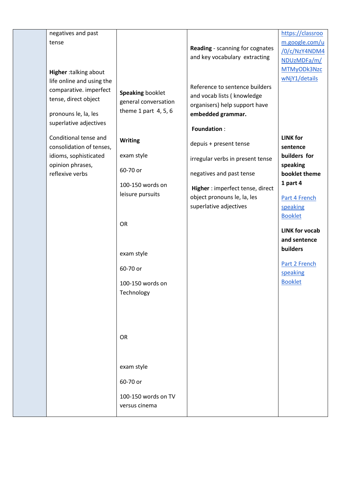| negatives and past        |                         |                                  | https://classroo      |
|---------------------------|-------------------------|----------------------------------|-----------------------|
| tense                     |                         |                                  | m.google.com/u        |
|                           |                         | Reading - scanning for cognates  | /0/c/NzY4NDM4         |
|                           |                         | and key vocabulary extracting    | NDUzMDFa/m/           |
|                           |                         |                                  | MTMyODk3Nzc           |
| Higher :talking about     |                         |                                  | wNjY1/details         |
| life online and using the |                         | Reference to sentence builders   |                       |
| comparative. imperfect    | <b>Speaking booklet</b> | and vocab lists ( knowledge      |                       |
| tense, direct object      | general conversation    | organisers) help support have    |                       |
| pronouns le, la, les      | theme 1 part $4, 5, 6$  | embedded grammar.                |                       |
| superlative adjectives    |                         |                                  |                       |
|                           |                         | <b>Foundation:</b>               |                       |
| Conditional tense and     | <b>Writing</b>          |                                  | <b>LINK for</b>       |
| consolidation of tenses,  |                         | depuis + present tense           | sentence              |
| idioms, sophisticated     | exam style              |                                  | builders for          |
| opinion phrases,          |                         | irregular verbs in present tense | speaking              |
| reflexive verbs           | 60-70 or                | negatives and past tense         | booklet theme         |
|                           | 100-150 words on        |                                  | 1 part 4              |
|                           | leisure pursuits        | Higher: imperfect tense, direct  |                       |
|                           |                         | object pronouns le, la, les      | Part 4 French         |
|                           |                         | superlative adjectives           | speaking              |
|                           |                         |                                  | <b>Booklet</b>        |
|                           | <b>OR</b>               |                                  |                       |
|                           |                         |                                  | <b>LINK for vocab</b> |
|                           |                         |                                  | and sentence          |
|                           | exam style              |                                  | builders              |
|                           |                         |                                  | Part 2 French         |
|                           | 60-70 or                |                                  | speaking              |
|                           | 100-150 words on        |                                  | <b>Booklet</b>        |
|                           | Technology              |                                  |                       |
|                           |                         |                                  |                       |
|                           |                         |                                  |                       |
|                           |                         |                                  |                       |
|                           |                         |                                  |                       |
|                           | OR                      |                                  |                       |
|                           |                         |                                  |                       |
|                           |                         |                                  |                       |
|                           |                         |                                  |                       |
|                           | exam style              |                                  |                       |
|                           | 60-70 or                |                                  |                       |
|                           |                         |                                  |                       |
|                           | 100-150 words on TV     |                                  |                       |
|                           | versus cinema           |                                  |                       |
|                           |                         |                                  |                       |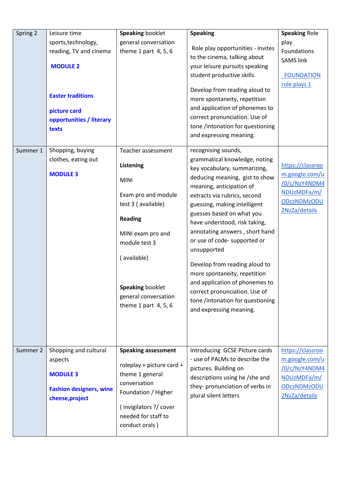| Spring 2 | Leisure time                   | <b>Speaking booklet</b>    | <b>Speaking</b>                                                   | <b>Speaking Role</b>         |
|----------|--------------------------------|----------------------------|-------------------------------------------------------------------|------------------------------|
|          | sports, technology,            | general conversation       |                                                                   | play                         |
|          | reading, TV and cinema         | theme 1 part $4, 5, 6$     | Role play opportunities - invites                                 | Foundations                  |
|          |                                |                            | to the cinema, talking about                                      | <b>SAMS link</b>             |
|          | <b>MODULE 2</b>                |                            | your leisure pursuits speaking                                    |                              |
|          |                                |                            | student productive skills.                                        | <b>FOUNDATION</b>            |
|          |                                |                            | Develop from reading aloud to                                     | role plays 1                 |
|          | <b>Easter traditions</b>       |                            | more spontaneity, repetition                                      |                              |
|          | picture card                   |                            | and application of phonemes to                                    |                              |
|          | opportunities / literary       |                            | correct pronunciation. Use of                                     |                              |
|          | texts                          |                            | tone /intonation for questioning                                  |                              |
|          |                                |                            | and expressing meaning.                                           |                              |
| Summer 1 | Shopping, buying               | Teacher assessment         | recognising sounds,                                               |                              |
|          | clothes, eating out            |                            | grammatical knowledge, noting                                     |                              |
|          |                                | Listening                  | key vocabulary, summarizing,                                      | https://classroo             |
|          | <b>MODULE 3</b>                | <b>MINI</b>                | deducing meaning, gist to show                                    | m.google.com/u               |
|          |                                |                            | meaning, anticipation of                                          | /0/c/NzY4NDM4<br>NDUzMDFa/m/ |
|          |                                | Exam pro and module        | extracts via rubrics, second                                      | <b>ODczNDMzODU</b>           |
|          |                                | test 3 (available)         | guessing, making intelligent                                      | 2NzZa/details                |
|          |                                | <b>Reading</b>             | guesses based on what you                                         |                              |
|          |                                |                            | have understood, risk taking,<br>annotating answers, short hand   |                              |
|          |                                | MINI exam pro and          | or use of code- supported or                                      |                              |
|          |                                | module test 3              | unsupported                                                       |                              |
|          |                                | (available)                |                                                                   |                              |
|          |                                |                            | Develop from reading aloud to                                     |                              |
|          |                                |                            | more spontaneity, repetition                                      |                              |
|          |                                | <b>Speaking booklet</b>    | and application of phonemes to                                    |                              |
|          |                                | general conversation       | correct pronunciation. Use of<br>tone /intonation for questioning |                              |
|          |                                | theme 1 part $4, 5, 6$     | and expressing meaning.                                           |                              |
|          |                                |                            |                                                                   |                              |
|          |                                |                            |                                                                   |                              |
|          |                                |                            |                                                                   |                              |
| Summer 2 | Shopping and cultural          | <b>Speaking assessment</b> | Introducing GCSE Picture cards                                    | https://classroo             |
|          | aspects                        |                            | - use of PALMs to describe the                                    | m.google.com/u               |
|          |                                | roleplay + picture card +  | pictures. Building on                                             | /0/c/NzY4NDM4                |
|          | <b>MODULE 3</b>                | theme 1 general            | descriptions using he /she and                                    | NDUzMDFa/m/                  |
|          | <b>Fashion designers, wine</b> | conversation               | they- pronunciation of verbs in                                   | <b>ODczNDMzODU</b>           |
|          | cheese, project                | Foundation / Higher        | plural silent letters                                             | 2NzZa/details                |
|          |                                | (invigilators ?/ cover     |                                                                   |                              |
|          |                                | needed for staff to        |                                                                   |                              |
|          |                                | conduct orals)             |                                                                   |                              |
|          |                                |                            |                                                                   |                              |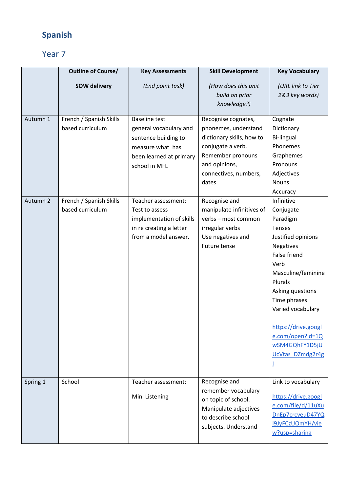## **Spanish**

|                      | <b>Outline of Course/</b>                                                                  | <b>Key Assessments</b>                                                                                                                                                                                                                                         | <b>Skill Development</b>                                                                                                                                                                                                                                                                            | <b>Key Vocabulary</b>                                                                                                                                                                                                                                                                                                                                                                                                   |
|----------------------|--------------------------------------------------------------------------------------------|----------------------------------------------------------------------------------------------------------------------------------------------------------------------------------------------------------------------------------------------------------------|-----------------------------------------------------------------------------------------------------------------------------------------------------------------------------------------------------------------------------------------------------------------------------------------------------|-------------------------------------------------------------------------------------------------------------------------------------------------------------------------------------------------------------------------------------------------------------------------------------------------------------------------------------------------------------------------------------------------------------------------|
|                      | <b>SOW delivery</b>                                                                        | (End point task)                                                                                                                                                                                                                                               | (How does this unit<br>build on prior<br>knowledge?)                                                                                                                                                                                                                                                | (URL link to Tier<br>2&3 key words)                                                                                                                                                                                                                                                                                                                                                                                     |
| Autumn 1<br>Autumn 2 | French / Spanish Skills<br>based curriculum<br>French / Spanish Skills<br>based curriculum | <b>Baseline test</b><br>general vocabulary and<br>sentence building to<br>measure what has<br>been learned at primary<br>school in MFL<br>Teacher assessment:<br>Test to assess<br>implementation of skills<br>in re creating a letter<br>from a model answer. | Recognise cognates,<br>phonemes, understand<br>dictionary skills, how to<br>conjugate a verb.<br>Remember pronouns<br>and opinions,<br>connectives, numbers,<br>dates.<br>Recognise and<br>manipulate infinitives of<br>verbs - most common<br>irregular verbs<br>Use negatives and<br>Future tense | Cognate<br>Dictionary<br><b>Bi-lingual</b><br>Phonemes<br>Graphemes<br>Pronouns<br>Adjectives<br><b>Nouns</b><br>Accuracy<br>Infinitive<br>Conjugate<br>Paradigm<br>Tenses<br>Justified opinions<br><b>Negatives</b><br>False friend<br>Verb<br>Masculine/feminine<br>Plurals<br>Asking questions<br>Time phrases<br>Varied vocabulary<br>https://drive.googl<br>e.com/open?id=1Q<br>wSM4GQhFY1D5jU<br>UcVtas DZmdg2r4g |
| Spring 1             | School                                                                                     | Teacher assessment:                                                                                                                                                                                                                                            | Recognise and                                                                                                                                                                                                                                                                                       | Link to vocabulary                                                                                                                                                                                                                                                                                                                                                                                                      |
|                      |                                                                                            | Mini Listening                                                                                                                                                                                                                                                 | remember vocabulary<br>on topic of school.<br>Manipulate adjectives<br>to describe school<br>subjects. Understand                                                                                                                                                                                   | https://drive.googl<br>e.com/file/d/11uXu<br>DnEp7crcveuD47YQ<br><b>I9JyFCzUOmYH/vie</b><br>w?usp=sharing                                                                                                                                                                                                                                                                                                               |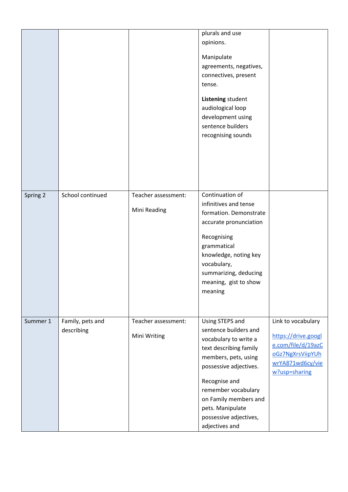|          |                                |                                     | plurals and use<br>opinions.<br>Manipulate<br>agreements, negatives,<br>connectives, present<br>tense.<br>Listening student<br>audiological loop<br>development using<br>sentence builders<br>recognising sounds                                                               |                                                                                                                          |
|----------|--------------------------------|-------------------------------------|--------------------------------------------------------------------------------------------------------------------------------------------------------------------------------------------------------------------------------------------------------------------------------|--------------------------------------------------------------------------------------------------------------------------|
| Spring 2 | School continued               | Teacher assessment:<br>Mini Reading | Continuation of<br>infinitives and tense<br>formation. Demonstrate<br>accurate pronunciation<br>Recognising<br>grammatical<br>knowledge, noting key<br>vocabulary,<br>summarizing, deducing<br>meaning, gist to show<br>meaning                                                |                                                                                                                          |
| Summer 1 | Family, pets and<br>describing | Teacher assessment:<br>Mini Writing | Using STEPS and<br>sentence builders and<br>vocabulary to write a<br>text describing family<br>members, pets, using<br>possessive adjectives.<br>Recognise and<br>remember vocabulary<br>on Family members and<br>pets. Manipulate<br>possessive adjectives,<br>adjectives and | Link to vocabulary<br>https://drive.googl<br>e.com/file/d/19azC<br>oGz7NgXrsViipYUh<br>wrYA871wd6cy/vie<br>w?usp=sharing |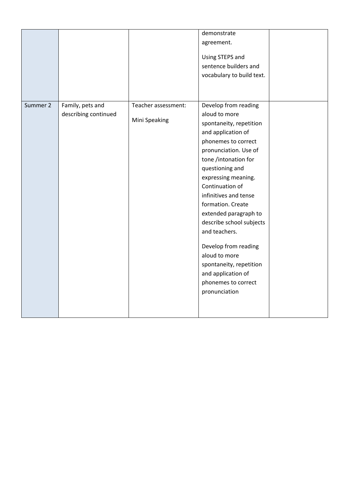|          |                      |                     | demonstrate<br>agreement.<br>Using STEPS and<br>sentence builders and<br>vocabulary to build text.                                                                                                                                                                                                                                                                                                                                                        |  |
|----------|----------------------|---------------------|-----------------------------------------------------------------------------------------------------------------------------------------------------------------------------------------------------------------------------------------------------------------------------------------------------------------------------------------------------------------------------------------------------------------------------------------------------------|--|
| Summer 2 | Family, pets and     | Teacher assessment: | Develop from reading                                                                                                                                                                                                                                                                                                                                                                                                                                      |  |
|          | describing continued | Mini Speaking       | aloud to more<br>spontaneity, repetition<br>and application of<br>phonemes to correct<br>pronunciation. Use of<br>tone /intonation for<br>questioning and<br>expressing meaning.<br>Continuation of<br>infinitives and tense<br>formation. Create<br>extended paragraph to<br>describe school subjects<br>and teachers.<br>Develop from reading<br>aloud to more<br>spontaneity, repetition<br>and application of<br>phonemes to correct<br>pronunciation |  |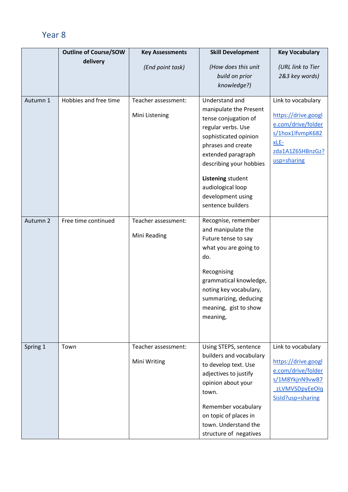|          | <b>Outline of Course/SOW</b> | <b>Key Assessments</b> | <b>Skill Development</b> | <b>Key Vocabulary</b>                     |
|----------|------------------------------|------------------------|--------------------------|-------------------------------------------|
|          | delivery                     | (End point task)       | (How does this unit      | (URL link to Tier                         |
|          |                              |                        | build on prior           | 2&3 key words)                            |
|          |                              |                        | knowledge?)              |                                           |
|          |                              |                        |                          |                                           |
| Autumn 1 | Hobbies and free time        | Teacher assessment:    | Understand and           | Link to vocabulary                        |
|          |                              |                        | manipulate the Present   |                                           |
|          |                              | Mini Listening         | tense conjugation of     | https://drive.googl                       |
|          |                              |                        | regular verbs. Use       | e.com/drive/folder<br>s/1hox1lfvmpK682    |
|          |                              |                        | sophisticated opinion    | $xLE-$                                    |
|          |                              |                        | phrases and create       | zda1A1Z6SHBnzGz?                          |
|          |                              |                        | extended paragraph       | usp=sharing                               |
|          |                              |                        | describing your hobbies  |                                           |
|          |                              |                        | Listening student        |                                           |
|          |                              |                        | audiological loop        |                                           |
|          |                              |                        | development using        |                                           |
|          |                              |                        | sentence builders        |                                           |
|          |                              |                        |                          |                                           |
| Autumn 2 | Free time continued          | Teacher assessment:    | Recognise, remember      |                                           |
|          |                              | Mini Reading           | and manipulate the       |                                           |
|          |                              |                        | Future tense to say      |                                           |
|          |                              |                        | what you are going to    |                                           |
|          |                              |                        | do.                      |                                           |
|          |                              |                        | Recognising              |                                           |
|          |                              |                        | grammatical knowledge,   |                                           |
|          |                              |                        | noting key vocabulary,   |                                           |
|          |                              |                        | summarizing, deducing    |                                           |
|          |                              |                        | meaning, gist to show    |                                           |
|          |                              |                        | meaning,                 |                                           |
|          |                              |                        |                          |                                           |
|          |                              |                        |                          |                                           |
| Spring 1 | Town                         | Teacher assessment:    | Using STEPS, sentence    | Link to vocabulary                        |
|          |                              |                        | builders and vocabulary  |                                           |
|          |                              | Mini Writing           | to develop text. Use     | https://drive.googl<br>e.com/drive/folder |
|          |                              |                        | adjectives to justify    | s/1M8YkjnN9vwB7                           |
|          |                              |                        | opinion about your       | zLVMVSDpyEeOlq                            |
|          |                              |                        | town.                    | SisId?usp=sharing                         |
|          |                              |                        | Remember vocabulary      |                                           |
|          |                              |                        | on topic of places in    |                                           |
|          |                              |                        | town. Understand the     |                                           |
|          |                              |                        | structure of negatives   |                                           |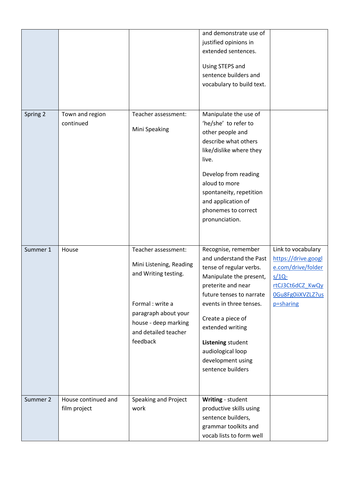|          |                                     |                                                                                                                                                                                | and demonstrate use of<br>justified opinions in<br>extended sentences.<br>Using STEPS and<br>sentence builders and<br>vocabulary to build text.                                                                                                                                                                |                                                                                                                                   |
|----------|-------------------------------------|--------------------------------------------------------------------------------------------------------------------------------------------------------------------------------|----------------------------------------------------------------------------------------------------------------------------------------------------------------------------------------------------------------------------------------------------------------------------------------------------------------|-----------------------------------------------------------------------------------------------------------------------------------|
| Spring 2 | Town and region<br>continued        | Teacher assessment:<br>Mini Speaking                                                                                                                                           | Manipulate the use of<br>'he/she' to refer to<br>other people and<br>describe what others<br>like/dislike where they<br>live.<br>Develop from reading<br>aloud to more<br>spontaneity, repetition<br>and application of<br>phonemes to correct<br>pronunciation.                                               |                                                                                                                                   |
| Summer 1 | House                               | Teacher assessment:<br>Mini Listening, Reading<br>and Writing testing.<br>Formal : write a<br>paragraph about your<br>house - deep marking<br>and detailed teacher<br>feedback | Recognise, remember<br>and understand the Past<br>tense of regular verbs.<br>Manipulate the present,<br>preterite and near<br>future tenses to narrate<br>events in three tenses.<br>Create a piece of<br>extended writing<br>Listening student<br>audiological loop<br>development using<br>sentence builders | Link to vocabulary<br>https://drive.googl<br>e.com/drive/folder<br>$s/1Q$ -<br>rtCJ3Ct6dCZ KwQy<br>OGu8Fg0iiXVZLZ?us<br>p=sharing |
| Summer 2 | House continued and<br>film project | Speaking and Project<br>work                                                                                                                                                   | Writing - student<br>productive skills using<br>sentence builders,<br>grammar toolkits and<br>vocab lists to form well                                                                                                                                                                                         |                                                                                                                                   |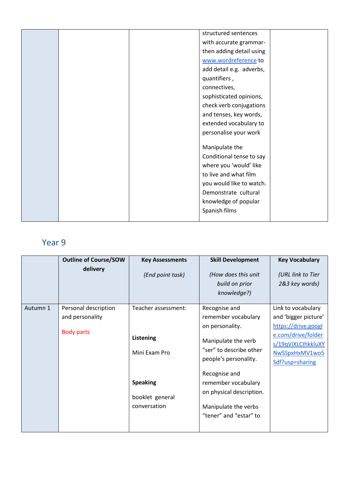|  | structured sentences     |  |
|--|--------------------------|--|
|  | with accurate grammar-   |  |
|  | then adding detail using |  |
|  | www.wordreference to     |  |
|  | add detail e.g. adverbs, |  |
|  | quantifiers,             |  |
|  | connectives,             |  |
|  | sophisticated opinions,  |  |
|  | check verb conjugations  |  |
|  | and tenses, key words,   |  |
|  | extended vocabulary to   |  |
|  | personalise your work    |  |
|  |                          |  |
|  | Manipulate the           |  |
|  | Conditional tense to say |  |
|  | where you 'would' like   |  |
|  | to live and what film    |  |
|  | you would like to watch. |  |
|  | Demonstrate cultural     |  |
|  | knowledge of popular     |  |
|  | Spanish films            |  |
|  |                          |  |

|          | <b>Outline of Course/SOW</b><br>delivery                     | <b>Key Assessments</b><br>(End point task)                                                              | <b>Skill Development</b><br>(How does this unit<br>build on prior<br>knowledge?)                                                                                                                                                                         | <b>Key Vocabulary</b><br>(URL link to Tier<br>2&3 key words)                                                                                       |
|----------|--------------------------------------------------------------|---------------------------------------------------------------------------------------------------------|----------------------------------------------------------------------------------------------------------------------------------------------------------------------------------------------------------------------------------------------------------|----------------------------------------------------------------------------------------------------------------------------------------------------|
| Autumn 1 | Personal description<br>and personality<br><b>Body parts</b> | Teacher assessment:<br>Listening<br>Mini Exam Pro<br><b>Speaking</b><br>booklet general<br>conversation | Recognise and<br>remember vocabulary<br>on personality.<br>Manipulate the verb<br>"ser" to describe other<br>people's personality.<br>Recognise and<br>remember vocabulary<br>on physical description.<br>Manipulate the verbs<br>"tener" and "estar" to | Link to vocabulary<br>and 'bigger picture'<br>https://drive.googl<br>e.com/drive/folder<br>s/19qViXLCIhkkluXY<br>NwSSpxHxMV1wo5<br>Sdf?usp=sharing |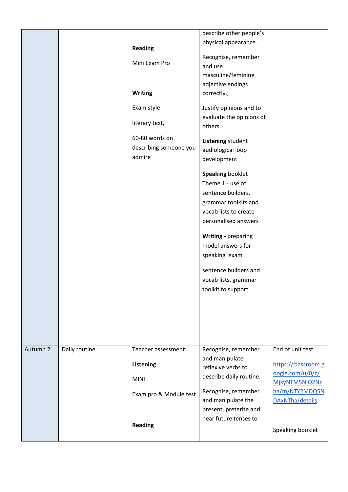|          |               | Reading<br>Mini Exam Pro<br><b>Writing</b><br>Exam style<br>literary text,<br>60-80 words on<br>describing someone you<br>admire | describe other people's<br>physical appearance.<br>Recognise, remember<br>and use<br>masculine/feminine<br>adjective endings<br>correctly.,<br>Justify opinions and to<br>evaluate the opinions of<br>others.<br>Listening student<br>audiological loop<br>development<br><b>Speaking booklet</b><br>Theme 1 - use of<br>sentence builders,<br>grammar toolkits and<br>vocab lists to create<br>personalised answers<br>Writing - preparing<br>model answers for<br>speaking exam<br>sentence builders and<br>vocab lists, grammar<br>toolkit to support |                                                                                                                                        |
|----------|---------------|----------------------------------------------------------------------------------------------------------------------------------|----------------------------------------------------------------------------------------------------------------------------------------------------------------------------------------------------------------------------------------------------------------------------------------------------------------------------------------------------------------------------------------------------------------------------------------------------------------------------------------------------------------------------------------------------------|----------------------------------------------------------------------------------------------------------------------------------------|
| Autumn 2 | Daily routine | Teacher assessment:<br><b>Listening</b><br><b>MINI</b><br>Exam pro & Module test<br><b>Reading</b>                               | Recognise, remember<br>and manipulate<br>reflexive verbs to<br>describe daily routine.<br>Recognise, remember<br>and manipulate the<br>present, preterite and<br>near future tenses to                                                                                                                                                                                                                                                                                                                                                                   | End of unit test<br>https://classroom.g<br>oogle.com/u/0/c/<br>MjkyNTM5NjQ2Nz<br>ha/m/NTY2MDQ5N<br>DAxNTha/details<br>Speaking booklet |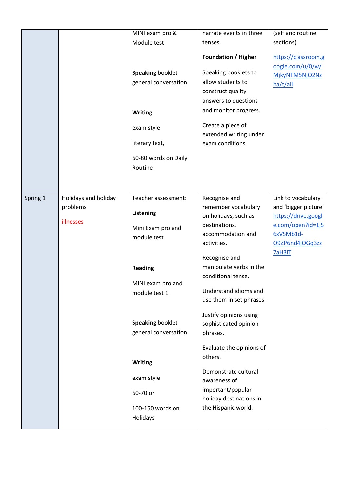|          |                                               | MINI exam pro &                                                                                                                                                                                                                                             | narrate events in three                                                                                                                                                                                                                                                                                                                                                                                                                                       | (self and routine                                                                                                                |
|----------|-----------------------------------------------|-------------------------------------------------------------------------------------------------------------------------------------------------------------------------------------------------------------------------------------------------------------|---------------------------------------------------------------------------------------------------------------------------------------------------------------------------------------------------------------------------------------------------------------------------------------------------------------------------------------------------------------------------------------------------------------------------------------------------------------|----------------------------------------------------------------------------------------------------------------------------------|
|          |                                               | Module test                                                                                                                                                                                                                                                 | tenses.                                                                                                                                                                                                                                                                                                                                                                                                                                                       | sections)                                                                                                                        |
|          |                                               | Speaking booklet<br>general conversation<br><b>Writing</b><br>exam style<br>literary text,<br>60-80 words on Daily<br>Routine                                                                                                                               | <b>Foundation / Higher</b><br>Speaking booklets to<br>allow students to<br>construct quality<br>answers to questions<br>and monitor progress.<br>Create a piece of<br>extended writing under<br>exam conditions.                                                                                                                                                                                                                                              | https://classroom.g<br>oogle.com/u/0/w/<br>MjkyNTM5NjQ2Nz<br>ha/t/all                                                            |
| Spring 1 | Holidays and holiday<br>problems<br>illnesses | Teacher assessment:<br><b>Listening</b><br>Mini Exam pro and<br>module test<br><b>Reading</b><br>MINI exam pro and<br>module test 1<br>Speaking booklet<br>general conversation<br><b>Writing</b><br>exam style<br>60-70 or<br>100-150 words on<br>Holidays | Recognise and<br>remember vocabulary<br>on holidays, such as<br>destinations,<br>accommodation and<br>activities.<br>Recognise and<br>manipulate verbs in the<br>conditional tense.<br>Understand idioms and<br>use them in set phrases.<br>Justify opinions using<br>sophisticated opinion<br>phrases.<br>Evaluate the opinions of<br>others.<br>Demonstrate cultural<br>awareness of<br>important/popular<br>holiday destinations in<br>the Hispanic world. | Link to vocabulary<br>and 'bigger picture'<br>https://drive.googl<br>e.com/open?id=1jS<br>6xVSMb1d-<br>Q9ZP6nd4jOGq3zz<br>7aH3iT |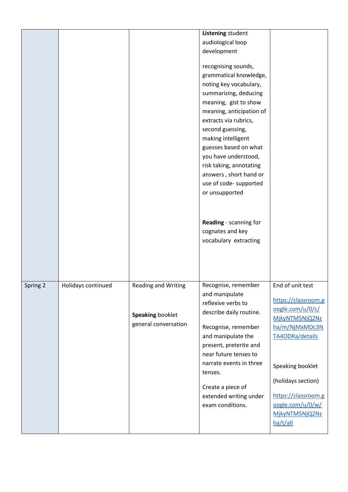|          |                    |                                                                        | Listening student<br>audiological loop<br>development<br>recognising sounds,<br>grammatical knowledge,<br>noting key vocabulary,<br>summarizing, deducing<br>meaning, gist to show<br>meaning, anticipation of<br>extracts via rubrics,<br>second guessing,<br>making intelligent<br>guesses based on what<br>you have understood,<br>risk taking, annotating<br>answers, short hand or<br>use of code- supported<br>or unsupported<br>Reading - scanning for<br>cognates and key<br>vocabulary extracting |                                                                                                                                                                                                                                       |
|----------|--------------------|------------------------------------------------------------------------|------------------------------------------------------------------------------------------------------------------------------------------------------------------------------------------------------------------------------------------------------------------------------------------------------------------------------------------------------------------------------------------------------------------------------------------------------------------------------------------------------------|---------------------------------------------------------------------------------------------------------------------------------------------------------------------------------------------------------------------------------------|
| Spring 2 | Holidays continued | <b>Reading and Writing</b><br>Speaking booklet<br>general conversation | Recognise, remember<br>and manipulate<br>reflexive verbs to<br>describe daily routine.<br>Recognise, remember<br>and manipulate the<br>present, preterite and<br>near future tenses to<br>narrate events in three<br>tenses.<br>Create a piece of<br>extended writing under<br>exam conditions.                                                                                                                                                                                                            | End of unit test<br>https://classroom.g<br>oogle.com/u/0/c/<br>MjkyNTM5NjQ2Nz<br>ha/m/NjMxMDc3N<br>TA4ODRa/details<br>Speaking booklet<br>(holidays section)<br>https://classroom.g<br>oogle.com/u/0/w/<br>MjkyNTM5NjQ2Nz<br>ha/t/all |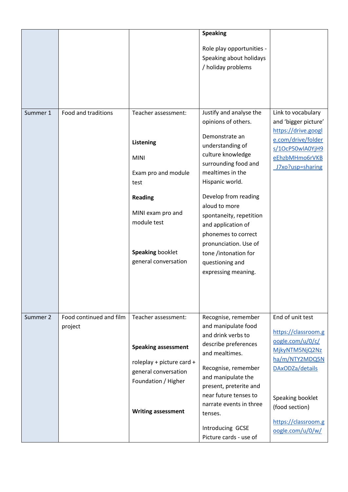|          |                                    |                                                                                                                                                            | <b>Speaking</b><br>Role play opportunities -<br>Speaking about holidays<br>/ holiday problems                                                                                                                                                                                                  |                                                                                                                                                                                                     |
|----------|------------------------------------|------------------------------------------------------------------------------------------------------------------------------------------------------------|------------------------------------------------------------------------------------------------------------------------------------------------------------------------------------------------------------------------------------------------------------------------------------------------|-----------------------------------------------------------------------------------------------------------------------------------------------------------------------------------------------------|
| Summer 1 | Food and traditions                | Teacher assessment:                                                                                                                                        | Justify and analyse the                                                                                                                                                                                                                                                                        | Link to vocabulary                                                                                                                                                                                  |
|          |                                    | <b>Listening</b><br><b>MINI</b><br>Exam pro and module<br>test<br><b>Reading</b><br>MINI exam pro and                                                      | opinions of others.<br>Demonstrate an<br>understanding of<br>culture knowledge<br>surrounding food and<br>mealtimes in the<br>Hispanic world.<br>Develop from reading<br>aloud to more<br>spontaneity, repetition                                                                              | and 'bigger picture'<br>https://drive.googl<br>e.com/drive/folder<br>s/10cP50wlA0YjH9<br>eEhzbMHmo6rVKB<br>J7xo?usp=sharing                                                                         |
|          |                                    | module test<br>Speaking booklet<br>general conversation                                                                                                    | and application of<br>phonemes to correct<br>pronunciation. Use of<br>tone /intonation for<br>questioning and<br>expressing meaning.                                                                                                                                                           |                                                                                                                                                                                                     |
| Summer 2 | Food continued and film<br>project | Teacher assessment:<br><b>Speaking assessment</b><br>roleplay + picture card +<br>general conversation<br>Foundation / Higher<br><b>Writing assessment</b> | Recognise, remember<br>and manipulate food<br>and drink verbs to<br>describe preferences<br>and mealtimes.<br>Recognise, remember<br>and manipulate the<br>present, preterite and<br>near future tenses to<br>narrate events in three<br>tenses.<br>Introducing GCSE<br>Picture cards - use of | End of unit test<br>https://classroom.g<br>oogle.com/u/0/c/<br>MjkyNTM5NjQ2Nz<br>ha/m/NTY2MDQ5N<br>DAxODZa/details<br>Speaking booklet<br>(food section)<br>https://classroom.g<br>oogle.com/u/0/w/ |